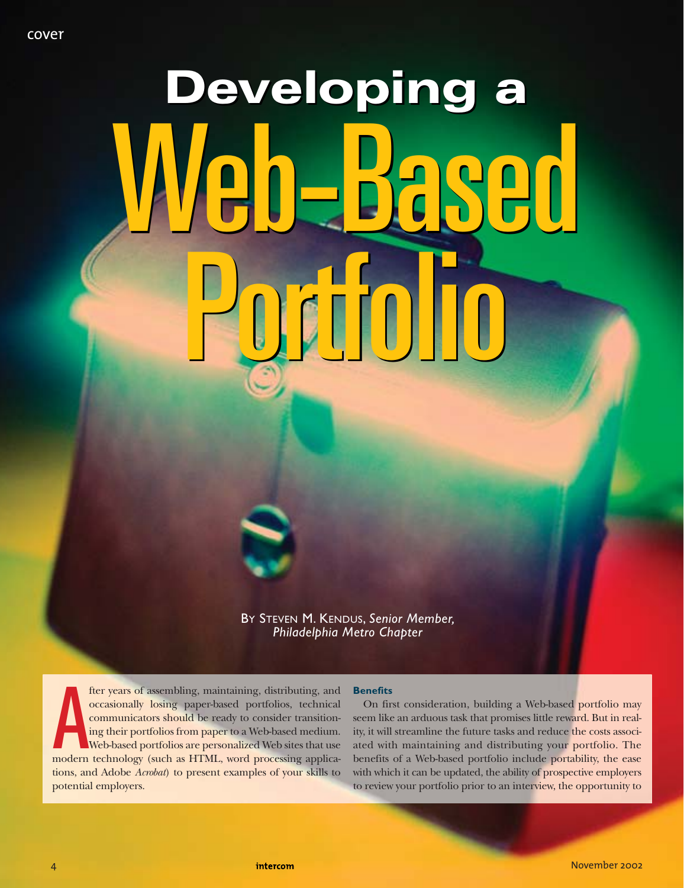# **Developing a Developing a**  Web-Based Portfolio Web-Based Portfolio

BY STEVEN M. KENDUS, *Senior Member, Philadelphia Metro Chapter*

fter years of assembling, maintaining, distributing, and<br>occasionally losing paper-based portfolios, technical<br>communicators should be ready to consider transition-<br>ing their portfolios from paper to a Web-based medium.<br>We fter years of assembling, maintaining, distributing, and occasionally losing paper-based portfolios, technical communicators should be ready to consider transitioning their portfolios from paper to a Web-based medium. Web-based portfolios are personalized Web sites that use tions, and Adobe *Acrobat*) to present examples of your skills to potential employers.

#### **Benefits**

On first consideration, building a Web-based portfolio may seem like an arduous task that promises little reward. But in reality, it will streamline the future tasks and reduce the costs associated with maintaining and distributing your portfolio. The benefits of a Web-based portfolio include portability, the ease with which it can be updated, the ability of prospective employers to review your portfolio prior to an interview, the opportunity to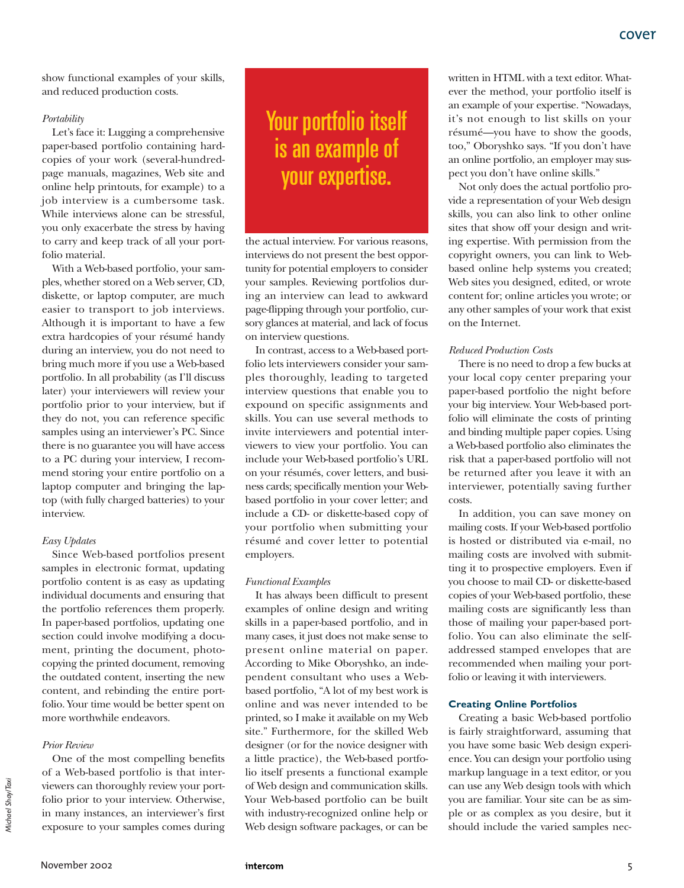show functional examples of your skills, and reduced production costs.

#### *Portability*

Let's face it: Lugging a comprehensive paper-based portfolio containing hardcopies of your work (several-hundredpage manuals, magazines, Web site and online help printouts, for example) to a job interview is a cumbersome task. While interviews alone can be stressful, you only exacerbate the stress by having to carry and keep track of all your portfolio material.

With a Web-based portfolio, your samples, whether stored on a Web server, CD, diskette, or laptop computer, are much easier to transport to job interviews. Although it is important to have a few extra hardcopies of your résumé handy during an interview, you do not need to bring much more if you use a Web-based portfolio. In all probability (as I'll discuss later) your interviewers will review your portfolio prior to your interview, but if they do not, you can reference specific samples using an interviewer's PC. Since there is no guarantee you will have access to a PC during your interview, I recommend storing your entire portfolio on a laptop computer and bringing the laptop (with fully charged batteries) to your interview.

## *Easy Updates*

Since Web-based portfolios present samples in electronic format, updating portfolio content is as easy as updating individual documents and ensuring that the portfolio references them properly. In paper-based portfolios, updating one section could involve modifying a document, printing the document, photocopying the printed document, removing the outdated content, inserting the new content, and rebinding the entire portfolio. Your time would be better spent on more worthwhile endeavors.

## *Prior Review*

One of the most compelling benefits of a Web-based portfolio is that interviewers can thoroughly review your portfolio prior to your interview. Otherwise, in many instances, an interviewer's first exposure to your samples comes during

# Your portfolio itself is an example of your expertise.

the actual interview. For various reasons, interviews do not present the best opportunity for potential employers to consider your samples. Reviewing portfolios during an interview can lead to awkward page-flipping through your portfolio, cursory glances at material, and lack of focus on interview questions.

In contrast, access to a Web-based portfolio lets interviewers consider your samples thoroughly, leading to targeted interview questions that enable you to expound on specific assignments and skills. You can use several methods to invite interviewers and potential interviewers to view your portfolio. You can include your Web-based portfolio's URL on your résumés, cover letters, and business cards; specifically mention your Webbased portfolio in your cover letter; and include a CD- or diskette-based copy of your portfolio when submitting your résumé and cover letter to potential employers.

#### *Functional Examples*

It has always been difficult to present examples of online design and writing skills in a paper-based portfolio, and in many cases, it just does not make sense to present online material on paper. According to Mike Oboryshko, an independent consultant who uses a Webbased portfolio, "A lot of my best work is online and was never intended to be printed, so I make it available on my Web site." Furthermore, for the skilled Web designer (or for the novice designer with a little practice), the Web-based portfolio itself presents a functional example of Web design and communication skills. Your Web-based portfolio can be built with industry-recognized online help or Web design software packages, or can be written in HTML with a text editor. Whatever the method, your portfolio itself is an example of your expertise. "Nowadays, it's not enough to list skills on your résumé—you have to show the goods, too," Oboryshko says. "If you don't have an online portfolio, an employer may suspect you don't have online skills."

Not only does the actual portfolio provide a representation of your Web design skills, you can also link to other online sites that show off your design and writing expertise. With permission from the copyright owners, you can link to Webbased online help systems you created; Web sites you designed, edited, or wrote content for; online articles you wrote; or any other samples of your work that exist on the Internet.

## *Reduced Production Costs*

There is no need to drop a few bucks at your local copy center preparing your paper-based portfolio the night before your big interview. Your Web-based portfolio will eliminate the costs of printing and binding multiple paper copies. Using a Web-based portfolio also eliminates the risk that a paper-based portfolio will not be returned after you leave it with an interviewer, potentially saving further costs.

In addition, you can save money on mailing costs. If your Web-based portfolio is hosted or distributed via e-mail, no mailing costs are involved with submitting it to prospective employers. Even if you choose to mail CD- or diskette-based copies of your Web-based portfolio, these mailing costs are significantly less than those of mailing your paper-based portfolio. You can also eliminate the selfaddressed stamped envelopes that are recommended when mailing your portfolio or leaving it with interviewers.

#### **Creating Online Portfolios**

Creating a basic Web-based portfolio is fairly straightforward, assuming that you have some basic Web design experience. You can design your portfolio using markup language in a text editor, or you can use any Web design tools with which you are familiar. Your site can be as simple or as complex as you desire, but it should include the varied samples nec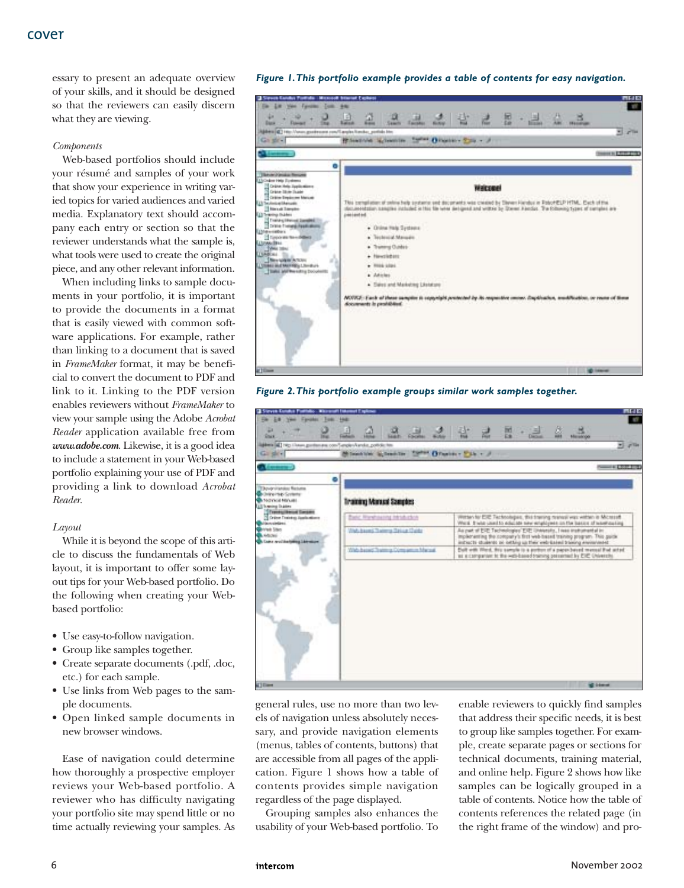essary to present an adequate overview of your skills, and it should be designed so that the reviewers can easily discern what they are viewing.

#### *Components*

Web-based portfolios should include your résumé and samples of your work that show your experience in writing varied topics for varied audiences and varied media. Explanatory text should accompany each entry or section so that the reviewer understands what the sample is, what tools were used to create the original piece, and any other relevant information.

When including links to sample documents in your portfolio, it is important to provide the documents in a format that is easily viewed with common software applications. For example, rather than linking to a document that is saved in *FrameMaker* format, it may be beneficial to convert the document to PDF and link to it. Linking to the PDF version enables reviewers without *FrameMaker* to view your sample using the Adobe *Acrobat Reader* application available free from *www.adobe.com*. Likewise, it is a good idea to include a statement in your Web-based portfolio explaining your use of PDF and providing a link to download *Acrobat Reader*.

#### *Layout*

While it is beyond the scope of this article to discuss the fundamentals of Web layout, it is important to offer some layout tips for your Web-based portfolio. Do the following when creating your Webbased portfolio:

- Use easy-to-follow navigation.
- Group like samples together.
- Create separate documents (.pdf, .doc, etc.) for each sample.
- Use links from Web pages to the sample documents.
- Open linked sample documents in new browser windows.

Ease of navigation could determine how thoroughly a prospective employer reviews your Web-based portfolio. A reviewer who has difficulty navigating your portfolio site may spend little or no time actually reviewing your samples. As

#### *Figure 1.This portfolio example provides a table of contents for easy navigation.*



*Figure 2.This portfolio example groups similar work samples together.*



general rules, use no more than two levels of navigation unless absolutely necessary, and provide navigation elements (menus, tables of contents, buttons) that are accessible from all pages of the application. Figure 1 shows how a table of contents provides simple navigation regardless of the page displayed.

Grouping samples also enhances the usability of your Web-based portfolio. To enable reviewers to quickly find samples that address their specific needs, it is best to group like samples together. For example, create separate pages or sections for technical documents, training material, and online help. Figure 2 shows how like samples can be logically grouped in a table of contents. Notice how the table of contents references the related page (in the right frame of the window) and pro-